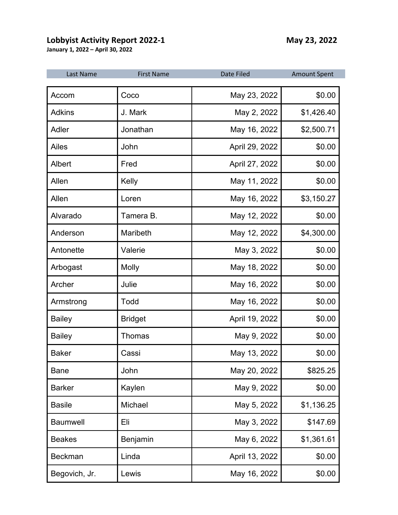## **Lobbyist Activity Report 2022-1** May 23, 2022

**January 1, 2022 – April 30, 2022**

| Last Name       | <b>First Name</b> | <b>Date Filed</b> | <b>Amount Spent</b> |
|-----------------|-------------------|-------------------|---------------------|
| Accom           | Coco              | May 23, 2022      | \$0.00              |
| <b>Adkins</b>   | J. Mark           | May 2, 2022       | \$1,426.40          |
| Adler           | Jonathan          | May 16, 2022      | \$2,500.71          |
| Ailes           | John              | April 29, 2022    | \$0.00              |
| Albert          | Fred              | April 27, 2022    | \$0.00              |
| Allen           | Kelly             | May 11, 2022      | \$0.00              |
| Allen           | Loren             | May 16, 2022      | \$3,150.27          |
| Alvarado        | Tamera B.         | May 12, 2022      | \$0.00              |
| Anderson        | Maribeth          | May 12, 2022      | \$4,300.00          |
| Antonette       | Valerie           | May 3, 2022       | \$0.00              |
| Arbogast        | <b>Molly</b>      | May 18, 2022      | \$0.00              |
| Archer          | Julie             | May 16, 2022      | \$0.00              |
| Armstrong       | Todd              | May 16, 2022      | \$0.00              |
| <b>Bailey</b>   | <b>Bridget</b>    | April 19, 2022    | \$0.00              |
| <b>Bailey</b>   | <b>Thomas</b>     | May 9, 2022       | \$0.00              |
| <b>Baker</b>    | Cassi             | May 13, 2022      | \$0.00              |
| <b>Bane</b>     | John              | May 20, 2022      | \$825.25            |
| <b>Barker</b>   | Kaylen            | May 9, 2022       | \$0.00              |
| <b>Basile</b>   | Michael           | May 5, 2022       | \$1,136.25          |
| <b>Baumwell</b> | Eli               | May 3, 2022       | \$147.69            |
| <b>Beakes</b>   | Benjamin          | May 6, 2022       | \$1,361.61          |
| <b>Beckman</b>  | Linda             | April 13, 2022    | \$0.00              |
| Begovich, Jr.   | Lewis             | May 16, 2022      | \$0.00              |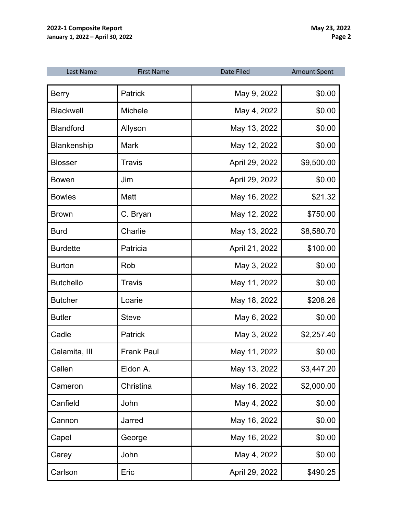| Last Name        | <b>First Name</b> | Date Filed     | <b>Amount Spent</b> |
|------------------|-------------------|----------------|---------------------|
| <b>Berry</b>     | <b>Patrick</b>    | May 9, 2022    | \$0.00              |
| <b>Blackwell</b> | Michele           | May 4, 2022    | \$0.00              |
| <b>Blandford</b> | Allyson           | May 13, 2022   | \$0.00              |
| Blankenship      | <b>Mark</b>       | May 12, 2022   | \$0.00              |
| <b>Blosser</b>   | <b>Travis</b>     | April 29, 2022 | \$9,500.00          |
| <b>Bowen</b>     | Jim               | April 29, 2022 | \$0.00              |
| <b>Bowles</b>    | Matt              | May 16, 2022   | \$21.32             |
| <b>Brown</b>     | C. Bryan          | May 12, 2022   | \$750.00            |
| <b>Burd</b>      | Charlie           | May 13, 2022   | \$8,580.70          |
| <b>Burdette</b>  | Patricia          | April 21, 2022 | \$100.00            |
| <b>Burton</b>    | Rob               | May 3, 2022    | \$0.00              |
| <b>Butchello</b> | <b>Travis</b>     | May 11, 2022   | \$0.00              |
| <b>Butcher</b>   | Loarie            | May 18, 2022   | \$208.26            |
| <b>Butler</b>    | <b>Steve</b>      | May 6, 2022    | \$0.00              |
| Cadle            | Patrick           | May 3, 2022    | \$2,257.40          |
| Calamita, III    | <b>Frank Paul</b> | May 11, 2022   | \$0.00              |
| Callen           | Eldon A.          | May 13, 2022   | \$3,447.20          |
| Cameron          | Christina         | May 16, 2022   | \$2,000.00          |
| Canfield         | John              | May 4, 2022    | \$0.00              |
| Cannon           | Jarred            | May 16, 2022   | \$0.00              |
| Capel            | George            | May 16, 2022   | \$0.00              |
| Carey            | John              | May 4, 2022    | \$0.00              |
| Carlson          | Eric              | April 29, 2022 | \$490.25            |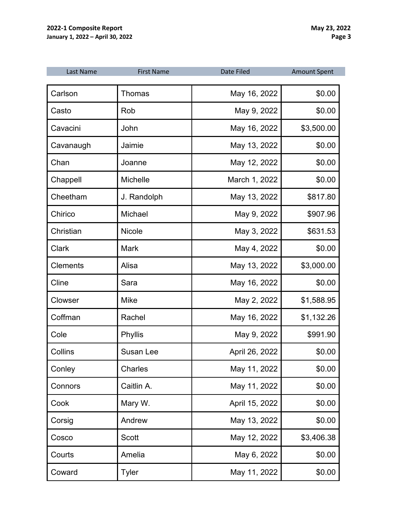| Last Name       | <b>First Name</b> | Date Filed     | <b>Amount Spent</b> |
|-----------------|-------------------|----------------|---------------------|
| Carlson         | Thomas            | May 16, 2022   | \$0.00              |
| Casto           | Rob               | May 9, 2022    | \$0.00              |
| Cavacini        | John              | May 16, 2022   | \$3,500.00          |
| Cavanaugh       | Jaimie            | May 13, 2022   | \$0.00              |
| Chan            | Joanne            | May 12, 2022   | \$0.00              |
| Chappell        | Michelle          | March 1, 2022  | \$0.00              |
| Cheetham        | J. Randolph       | May 13, 2022   | \$817.80            |
| Chirico         | Michael           | May 9, 2022    | \$907.96            |
| Christian       | Nicole            | May 3, 2022    | \$631.53            |
| Clark           | <b>Mark</b>       | May 4, 2022    | \$0.00              |
| <b>Clements</b> | Alisa             | May 13, 2022   | \$3,000.00          |
| Cline           | Sara              | May 16, 2022   | \$0.00              |
| Clowser         | <b>Mike</b>       | May 2, 2022    | \$1,588.95          |
| Coffman         | Rachel            | May 16, 2022   | \$1,132.26          |
| Cole            | Phyllis           | May 9, 2022    | \$991.90            |
| Collins         | Susan Lee         | April 26, 2022 | \$0.00              |
| Conley          | Charles           | May 11, 2022   | \$0.00              |
| Connors         | Caitlin A.        | May 11, 2022   | \$0.00              |
| Cook            | Mary W.           | April 15, 2022 | \$0.00              |
| Corsig          | Andrew            | May 13, 2022   | \$0.00              |
| Cosco           | <b>Scott</b>      | May 12, 2022   | \$3,406.38          |
| Courts          | Amelia            | May 6, 2022    | \$0.00              |
| Coward          | <b>Tyler</b>      | May 11, 2022   | \$0.00              |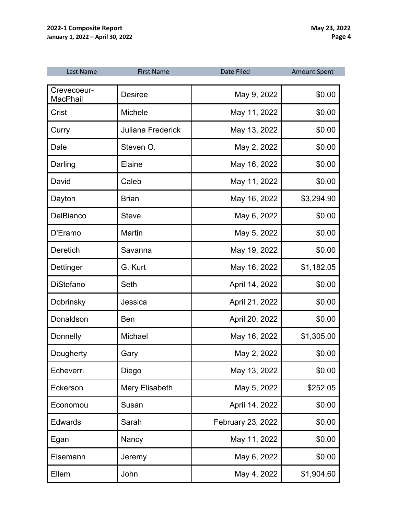| Last Name                      | <b>First Name</b>        | <b>Date Filed</b> | <b>Amount Spent</b> |
|--------------------------------|--------------------------|-------------------|---------------------|
| Crevecoeur-<br><b>MacPhail</b> | <b>Desiree</b>           | May 9, 2022       | \$0.00              |
| Crist                          | Michele                  | May 11, 2022      | \$0.00              |
| Curry                          | <b>Juliana Frederick</b> | May 13, 2022      | \$0.00              |
| Dale                           | Steven O.                | May 2, 2022       | \$0.00              |
| Darling                        | <b>Elaine</b>            | May 16, 2022      | \$0.00              |
| David                          | Caleb                    | May 11, 2022      | \$0.00              |
| Dayton                         | <b>Brian</b>             | May 16, 2022      | \$3,294.90          |
| <b>DelBianco</b>               | <b>Steve</b>             | May 6, 2022       | \$0.00              |
| D'Eramo                        | Martin                   | May 5, 2022       | \$0.00              |
| <b>Deretich</b>                | Savanna                  | May 19, 2022      | \$0.00              |
| Dettinger                      | G. Kurt                  | May 16, 2022      | \$1,182.05          |
| <b>DiStefano</b>               | Seth                     | April 14, 2022    | \$0.00              |
| <b>Dobrinsky</b>               | Jessica                  | April 21, 2022    | \$0.00              |
| Donaldson                      | <b>Ben</b>               | April 20, 2022    | \$0.00              |
| Donnelly                       | Michael                  | May 16, 2022      | \$1,305.00          |
| Dougherty                      | Gary                     | May 2, 2022       | \$0.00              |
| Echeverri                      | Diego                    | May 13, 2022      | \$0.00              |
| Eckerson                       | Mary Elisabeth           | May 5, 2022       | \$252.05            |
| Economou                       | Susan                    | April 14, 2022    | \$0.00              |
| <b>Edwards</b>                 | Sarah                    | February 23, 2022 | \$0.00              |
| Egan                           | Nancy                    | May 11, 2022      | \$0.00              |
| Eisemann                       | Jeremy                   | May 6, 2022       | \$0.00              |
| Ellem                          | John                     | May 4, 2022       | \$1,904.60          |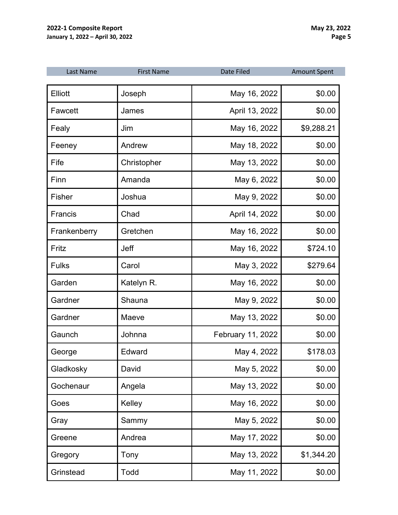| Last Name    | <b>First Name</b> | Date Filed        | <b>Amount Spent</b> |
|--------------|-------------------|-------------------|---------------------|
| Elliott      | Joseph            | May 16, 2022      | \$0.00              |
| Fawcett      | James             | April 13, 2022    | \$0.00              |
| Fealy        | Jim               | May 16, 2022      | \$9,288.21          |
| Feeney       | Andrew            | May 18, 2022      | \$0.00              |
| Fife         | Christopher       | May 13, 2022      | \$0.00              |
| Finn         | Amanda            | May 6, 2022       | \$0.00              |
| Fisher       | Joshua            | May 9, 2022       | \$0.00              |
| Francis      | Chad              | April 14, 2022    | \$0.00              |
| Frankenberry | Gretchen          | May 16, 2022      | \$0.00              |
| Fritz        | Jeff              | May 16, 2022      | \$724.10            |
| <b>Fulks</b> | Carol             | May 3, 2022       | \$279.64            |
| Garden       | Katelyn R.        | May 16, 2022      | \$0.00              |
| Gardner      | Shauna            | May 9, 2022       | \$0.00              |
| Gardner      | Maeve             | May 13, 2022      | \$0.00              |
| Gaunch       | Johnna            | February 11, 2022 | \$0.00              |
| George       | Edward            | May 4, 2022       | \$178.03            |
| Gladkosky    | David             | May 5, 2022       | \$0.00              |
| Gochenaur    | Angela            | May 13, 2022      | \$0.00              |
| Goes         | Kelley            | May 16, 2022      | \$0.00              |
| Gray         | Sammy             | May 5, 2022       | \$0.00              |
| Greene       | Andrea            | May 17, 2022      | \$0.00              |
| Gregory      | Tony              | May 13, 2022      | \$1,344.20          |
| Grinstead    | Todd              | May 11, 2022      | \$0.00              |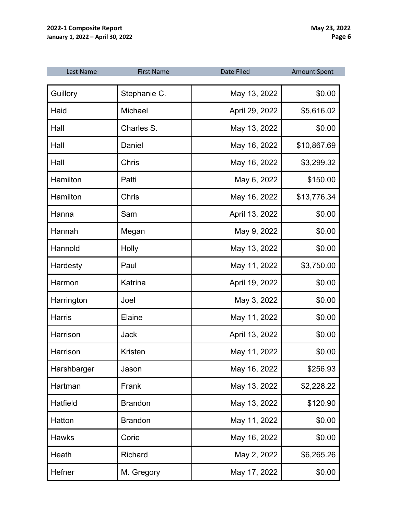| Last Name     | <b>First Name</b> | <b>Date Filed</b> | <b>Amount Spent</b> |
|---------------|-------------------|-------------------|---------------------|
| Guillory      | Stephanie C.      | May 13, 2022      | \$0.00              |
| Haid          | Michael           | April 29, 2022    | \$5,616.02          |
| Hall          | Charles S.        | May 13, 2022      | \$0.00              |
| Hall          | Daniel            | May 16, 2022      | \$10,867.69         |
| Hall          | <b>Chris</b>      | May 16, 2022      | \$3,299.32          |
| Hamilton      | Patti             | May 6, 2022       | \$150.00            |
| Hamilton      | <b>Chris</b>      | May 16, 2022      | \$13,776.34         |
| Hanna         | Sam               | April 13, 2022    | \$0.00              |
| Hannah        | Megan             | May 9, 2022       | \$0.00              |
| Hannold       | Holly             | May 13, 2022      | \$0.00              |
| Hardesty      | Paul              | May 11, 2022      | \$3,750.00          |
| Harmon        | Katrina           | April 19, 2022    | \$0.00              |
| Harrington    | Joel              | May 3, 2022       | \$0.00              |
| <b>Harris</b> | Elaine            | May 11, 2022      | \$0.00              |
| Harrison      | Jack              | April 13, 2022    | \$0.00              |
| Harrison      | Kristen           | May 11, 2022      | \$0.00              |
| Harshbarger   | Jason             | May 16, 2022      | \$256.93            |
| Hartman       | Frank             | May 13, 2022      | \$2,228.22          |
| Hatfield      | <b>Brandon</b>    | May 13, 2022      | \$120.90            |
| Hatton        | <b>Brandon</b>    | May 11, 2022      | \$0.00              |
| <b>Hawks</b>  | Corie             | May 16, 2022      | \$0.00              |
| Heath         | Richard           | May 2, 2022       | \$6,265.26          |
| Hefner        | M. Gregory        | May 17, 2022      | \$0.00              |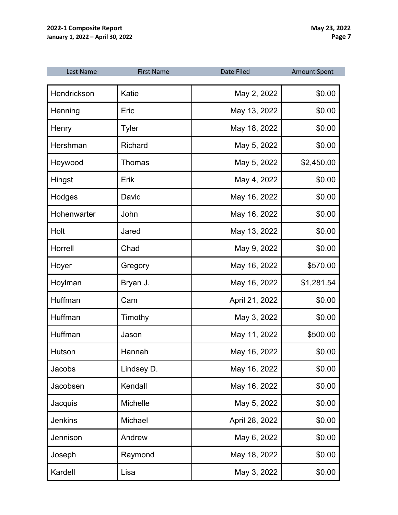| Last Name      | <b>First Name</b> | <b>Date Filed</b> | <b>Amount Spent</b> |
|----------------|-------------------|-------------------|---------------------|
| Hendrickson    | Katie             | May 2, 2022       | \$0.00              |
| Henning        | Eric              | May 13, 2022      | \$0.00              |
| Henry          | Tyler             | May 18, 2022      | \$0.00              |
| Hershman       | <b>Richard</b>    | May 5, 2022       | \$0.00              |
| Heywood        | <b>Thomas</b>     | May 5, 2022       | \$2,450.00          |
| Hingst         | Erik              | May 4, 2022       | \$0.00              |
| Hodges         | David             | May 16, 2022      | \$0.00              |
| Hohenwarter    | John              | May 16, 2022      | \$0.00              |
| Holt           | Jared             | May 13, 2022      | \$0.00              |
| Horrell        | Chad              | May 9, 2022       | \$0.00              |
| Hoyer          | Gregory           | May 16, 2022      | \$570.00            |
| Hoylman        | Bryan J.          | May 16, 2022      | \$1,281.54          |
| Huffman        | Cam               | April 21, 2022    | \$0.00              |
| Huffman        | Timothy           | May 3, 2022       | \$0.00              |
| Huffman        | Jason             | May 11, 2022      | \$500.00            |
| Hutson         | Hannah            | May 16, 2022      | \$0.00              |
| Jacobs         | Lindsey D.        | May 16, 2022      | \$0.00              |
| Jacobsen       | Kendall           | May 16, 2022      | \$0.00              |
| Jacquis        | Michelle          | May 5, 2022       | \$0.00              |
| <b>Jenkins</b> | Michael           | April 28, 2022    | \$0.00              |
| Jennison       | Andrew            | May 6, 2022       | \$0.00              |
| Joseph         | Raymond           | May 18, 2022      | \$0.00              |
| Kardell        | Lisa              | May 3, 2022       | \$0.00              |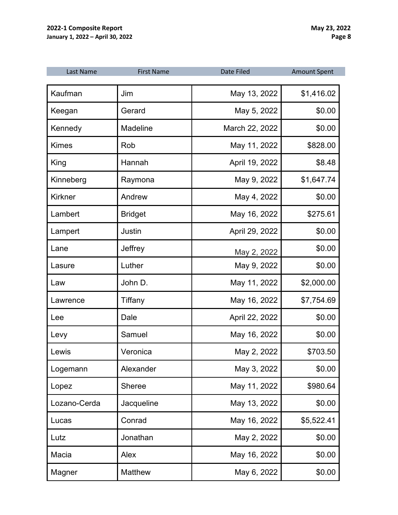| Last Name      | <b>First Name</b> | Date Filed     | <b>Amount Spent</b> |
|----------------|-------------------|----------------|---------------------|
| Kaufman        | Jim               | May 13, 2022   | \$1,416.02          |
| Keegan         | Gerard            | May 5, 2022    | \$0.00              |
| Kennedy        | <b>Madeline</b>   | March 22, 2022 | \$0.00              |
| <b>Kimes</b>   | Rob               | May 11, 2022   | \$828.00            |
| King           | Hannah            | April 19, 2022 | \$8.48              |
| Kinneberg      | Raymona           | May 9, 2022    | \$1,647.74          |
| <b>Kirkner</b> | Andrew            | May 4, 2022    | \$0.00              |
| Lambert        | <b>Bridget</b>    | May 16, 2022   | \$275.61            |
| Lampert        | Justin            | April 29, 2022 | \$0.00              |
| Lane           | Jeffrey           | May 2, 2022    | \$0.00              |
| Lasure         | Luther            | May 9, 2022    | \$0.00              |
| Law            | John D.           | May 11, 2022   | \$2,000.00          |
| Lawrence       | Tiffany           | May 16, 2022   | \$7,754.69          |
| Lee            | Dale              | April 22, 2022 | \$0.00              |
| Levy           | Samuel            | May 16, 2022   | \$0.00              |
| Lewis          | Veronica          | May 2, 2022    | \$703.50            |
| Logemann       | Alexander         | May 3, 2022    | \$0.00              |
| Lopez          | <b>Sheree</b>     | May 11, 2022   | \$980.64            |
| Lozano-Cerda   | Jacqueline        | May 13, 2022   | \$0.00              |
| Lucas          | Conrad            | May 16, 2022   | \$5,522.41          |
| Lutz           | Jonathan          | May 2, 2022    | \$0.00              |
| Macia          | Alex              | May 16, 2022   | \$0.00              |
| Magner         | Matthew           | May 6, 2022    | \$0.00              |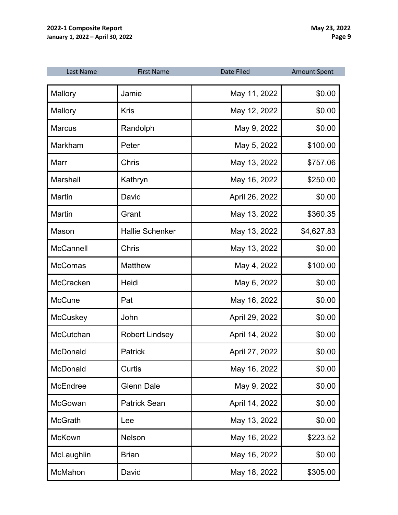| Last Name        | <b>First Name</b>      | <b>Date Filed</b> | <b>Amount Spent</b> |
|------------------|------------------------|-------------------|---------------------|
| Mallory          | Jamie                  | May 11, 2022      | \$0.00              |
| Mallory          | <b>Kris</b>            | May 12, 2022      | \$0.00              |
| <b>Marcus</b>    | Randolph               | May 9, 2022       | \$0.00              |
| Markham          | Peter                  | May 5, 2022       | \$100.00            |
| Marr             | <b>Chris</b>           | May 13, 2022      | \$757.06            |
| Marshall         | Kathryn                | May 16, 2022      | \$250.00            |
| Martin           | David                  | April 26, 2022    | \$0.00              |
| Martin           | Grant                  | May 13, 2022      | \$360.35            |
| Mason            | <b>Hallie Schenker</b> | May 13, 2022      | \$4,627.83          |
| <b>McCannell</b> | <b>Chris</b>           | May 13, 2022      | \$0.00              |
| <b>McComas</b>   | <b>Matthew</b>         | May 4, 2022       | \$100.00            |
| McCracken        | Heidi                  | May 6, 2022       | \$0.00              |
| <b>McCune</b>    | Pat                    | May 16, 2022      | \$0.00              |
| McCuskey         | John                   | April 29, 2022    | \$0.00              |
| McCutchan        | <b>Robert Lindsey</b>  | April 14, 2022    | \$0.00              |
| McDonald         | <b>Patrick</b>         | April 27, 2022    | \$0.00              |
| McDonald         | Curtis                 | May 16, 2022      | \$0.00              |
| McEndree         | <b>Glenn Dale</b>      | May 9, 2022       | \$0.00              |
| McGowan          | <b>Patrick Sean</b>    | April 14, 2022    | \$0.00              |
| <b>McGrath</b>   | Lee                    | May 13, 2022      | \$0.00              |
| <b>McKown</b>    | <b>Nelson</b>          | May 16, 2022      | \$223.52            |
| McLaughlin       | <b>Brian</b>           | May 16, 2022      | \$0.00              |
| McMahon          | David                  | May 18, 2022      | \$305.00            |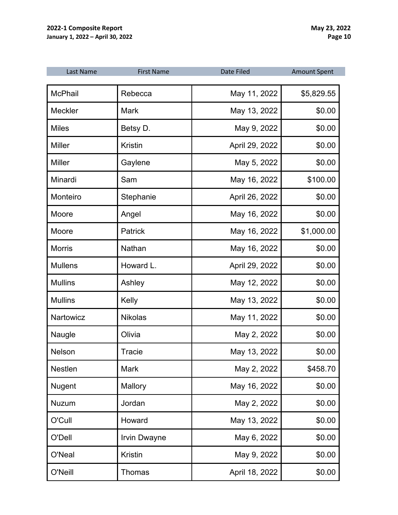| Last Name      | <b>First Name</b>   | <b>Date Filed</b> | <b>Amount Spent</b> |
|----------------|---------------------|-------------------|---------------------|
| <b>McPhail</b> | Rebecca             | May 11, 2022      | \$5,829.55          |
| <b>Meckler</b> | <b>Mark</b>         | May 13, 2022      | \$0.00              |
| <b>Miles</b>   | Betsy D.            | May 9, 2022       | \$0.00              |
| <b>Miller</b>  | <b>Kristin</b>      | April 29, 2022    | \$0.00              |
| <b>Miller</b>  | Gaylene             | May 5, 2022       | \$0.00              |
| Minardi        | Sam                 | May 16, 2022      | \$100.00            |
| Monteiro       | Stephanie           | April 26, 2022    | \$0.00              |
| Moore          | Angel               | May 16, 2022      | \$0.00              |
| Moore          | <b>Patrick</b>      | May 16, 2022      | \$1,000.00          |
| <b>Morris</b>  | <b>Nathan</b>       | May 16, 2022      | \$0.00              |
| <b>Mullens</b> | Howard L.           | April 29, 2022    | \$0.00              |
| <b>Mullins</b> | Ashley              | May 12, 2022      | \$0.00              |
| <b>Mullins</b> | Kelly               | May 13, 2022      | \$0.00              |
| Nartowicz      | <b>Nikolas</b>      | May 11, 2022      | \$0.00              |
| Naugle         | Olivia              | May 2, 2022       | \$0.00              |
| <b>Nelson</b>  | <b>Tracie</b>       | May 13, 2022      | \$0.00              |
| Nestlen        | <b>Mark</b>         | May 2, 2022       | \$458.70            |
| Nugent         | Mallory             | May 16, 2022      | \$0.00              |
| Nuzum          | Jordan              | May 2, 2022       | \$0.00              |
| O'Cull         | Howard              | May 13, 2022      | \$0.00              |
| O'Dell         | <b>Irvin Dwayne</b> | May 6, 2022       | \$0.00              |
| O'Neal         | <b>Kristin</b>      | May 9, 2022       | \$0.00              |
| O'Neill        | Thomas              | April 18, 2022    | \$0.00              |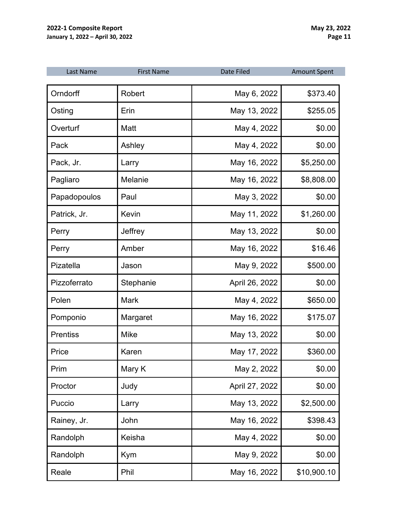| Last Name       | <b>First Name</b> | Date Filed     | <b>Amount Spent</b> |
|-----------------|-------------------|----------------|---------------------|
| Orndorff        | Robert            | May 6, 2022    | \$373.40            |
| Osting          | Erin              | May 13, 2022   | \$255.05            |
| Overturf        | Matt              | May 4, 2022    | \$0.00              |
| Pack            | Ashley            | May 4, 2022    | \$0.00              |
| Pack, Jr.       | Larry             | May 16, 2022   | \$5,250.00          |
| Pagliaro        | Melanie           | May 16, 2022   | \$8,808.00          |
| Papadopoulos    | Paul              | May 3, 2022    | \$0.00              |
| Patrick, Jr.    | Kevin             | May 11, 2022   | \$1,260.00          |
| Perry           | Jeffrey           | May 13, 2022   | \$0.00              |
| Perry           | Amber             | May 16, 2022   | \$16.46             |
| Pizatella       | Jason             | May 9, 2022    | \$500.00            |
| Pizzoferrato    | Stephanie         | April 26, 2022 | \$0.00              |
| Polen           | <b>Mark</b>       | May 4, 2022    | \$650.00            |
| Pomponio        | Margaret          | May 16, 2022   | \$175.07            |
| <b>Prentiss</b> | <b>Mike</b>       | May 13, 2022   | \$0.00              |
| Price           | Karen             | May 17, 2022   | \$360.00            |
| Prim            | Mary K            | May 2, 2022    | \$0.00              |
| Proctor         | Judy              | April 27, 2022 | \$0.00              |
| Puccio          | Larry             | May 13, 2022   | \$2,500.00          |
| Rainey, Jr.     | John              | May 16, 2022   | \$398.43            |
| Randolph        | Keisha            | May 4, 2022    | \$0.00              |
| Randolph        | Kym               | May 9, 2022    | \$0.00              |
| Reale           | Phil              | May 16, 2022   | \$10,900.10         |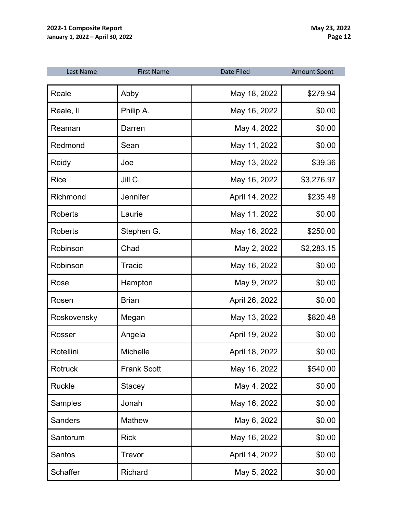| Last Name      | <b>First Name</b>  | <b>Date Filed</b> | <b>Amount Spent</b> |
|----------------|--------------------|-------------------|---------------------|
| Reale          | Abby               | May 18, 2022      | \$279.94            |
| Reale, II      | Philip A.          | May 16, 2022      | \$0.00              |
| Reaman         | Darren             | May 4, 2022       | \$0.00              |
| Redmond        | Sean               | May 11, 2022      | \$0.00              |
| Reidy          | Joe                | May 13, 2022      | \$39.36             |
| <b>Rice</b>    | Jill C.            | May 16, 2022      | \$3,276.97          |
| Richmond       | Jennifer           | April 14, 2022    | \$235.48            |
| <b>Roberts</b> | Laurie             | May 11, 2022      | \$0.00              |
| <b>Roberts</b> | Stephen G.         | May 16, 2022      | \$250.00            |
| Robinson       | Chad               | May 2, 2022       | \$2,283.15          |
| Robinson       | Tracie             | May 16, 2022      | \$0.00              |
| Rose           | Hampton            | May 9, 2022       | \$0.00              |
| Rosen          | <b>Brian</b>       | April 26, 2022    | \$0.00              |
| Roskovensky    | Megan              | May 13, 2022      | \$820.48            |
| Rosser         | Angela             | April 19, 2022    | \$0.00              |
| Rotellini      | <b>Michelle</b>    | April 18, 2022    | \$0.00              |
| Rotruck        | <b>Frank Scott</b> | May 16, 2022      | \$540.00            |
| Ruckle         | <b>Stacey</b>      | May 4, 2022       | \$0.00              |
| Samples        | Jonah              | May 16, 2022      | \$0.00              |
| <b>Sanders</b> | Mathew             | May 6, 2022       | \$0.00              |
| Santorum       | <b>Rick</b>        | May 16, 2022      | \$0.00              |
| Santos         | Trevor             | April 14, 2022    | \$0.00              |
| Schaffer       | Richard            | May 5, 2022       | \$0.00              |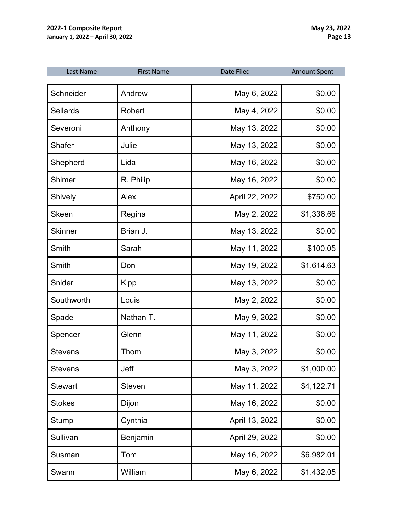| Last Name       | <b>First Name</b> | <b>Date Filed</b> | <b>Amount Spent</b> |
|-----------------|-------------------|-------------------|---------------------|
| Schneider       | Andrew            | May 6, 2022       | \$0.00              |
| <b>Sellards</b> | Robert            | May 4, 2022       | \$0.00              |
| Severoni        | Anthony           | May 13, 2022      | \$0.00              |
| <b>Shafer</b>   | Julie             | May 13, 2022      | \$0.00              |
| Shepherd        | Lida              | May 16, 2022      | \$0.00              |
| Shimer          | R. Philip         | May 16, 2022      | \$0.00              |
| Shively         | Alex              | April 22, 2022    | \$750.00            |
| <b>Skeen</b>    | Regina            | May 2, 2022       | \$1,336.66          |
| <b>Skinner</b>  | Brian J.          | May 13, 2022      | \$0.00              |
| Smith           | Sarah             | May 11, 2022      | \$100.05            |
| Smith           | Don               | May 19, 2022      | \$1,614.63          |
| Snider          | Kipp              | May 13, 2022      | \$0.00              |
| Southworth      | Louis             | May 2, 2022       | \$0.00              |
| Spade           | Nathan T.         | May 9, 2022       | \$0.00              |
| Spencer         | Glenn             | May 11, 2022      | \$0.00              |
| <b>Stevens</b>  | Thom              | May 3, 2022       | \$0.00              |
| <b>Stevens</b>  | Jeff              | May 3, 2022       | \$1,000.00          |
| <b>Stewart</b>  | <b>Steven</b>     | May 11, 2022      | \$4,122.71          |
| <b>Stokes</b>   | Dijon             | May 16, 2022      | \$0.00              |
| <b>Stump</b>    | Cynthia           | April 13, 2022    | \$0.00              |
| Sullivan        | Benjamin          | April 29, 2022    | \$0.00              |
| Susman          | Tom               | May 16, 2022      | \$6,982.01          |
| Swann           | William           | May 6, 2022       | \$1,432.05          |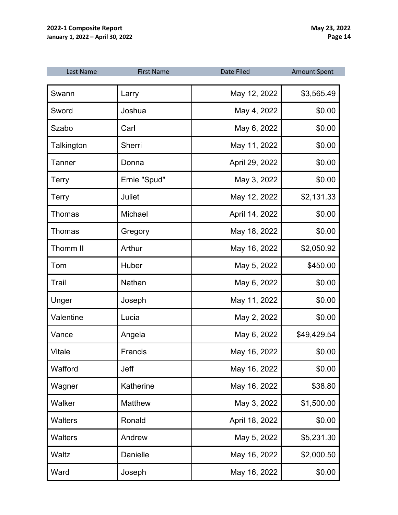| Last Name      | <b>First Name</b> | <b>Date Filed</b> | <b>Amount Spent</b> |
|----------------|-------------------|-------------------|---------------------|
| Swann          | Larry             | May 12, 2022      | \$3,565.49          |
| Sword          | Joshua            | May 4, 2022       | \$0.00              |
| Szabo          | Carl              | May 6, 2022       | \$0.00              |
| Talkington     | Sherri            | May 11, 2022      | \$0.00              |
| Tanner         | Donna             | April 29, 2022    | \$0.00              |
| <b>Terry</b>   | Ernie "Spud"      | May 3, 2022       | \$0.00              |
| <b>Terry</b>   | Juliet            | May 12, 2022      | \$2,131.33          |
| Thomas         | Michael           | April 14, 2022    | \$0.00              |
| <b>Thomas</b>  | Gregory           | May 18, 2022      | \$0.00              |
| Thomm II       | Arthur            | May 16, 2022      | \$2,050.92          |
| Tom            | Huber             | May 5, 2022       | \$450.00            |
| Trail          | Nathan            | May 6, 2022       | \$0.00              |
| Unger          | Joseph            | May 11, 2022      | \$0.00              |
| Valentine      | Lucia             | May 2, 2022       | \$0.00              |
| Vance          | Angela            | May 6, 2022       | \$49,429.54         |
| Vitale         | Francis           | May 16, 2022      | \$0.00              |
| Wafford        | Jeff              | May 16, 2022      | \$0.00              |
| Wagner         | Katherine         | May 16, 2022      | \$38.80             |
| Walker         | <b>Matthew</b>    | May 3, 2022       | \$1,500.00          |
| <b>Walters</b> | Ronald            | April 18, 2022    | \$0.00              |
| <b>Walters</b> | Andrew            | May 5, 2022       | \$5,231.30          |
| Waltz          | Danielle          | May 16, 2022      | \$2,000.50          |
| Ward           | Joseph            | May 16, 2022      | \$0.00              |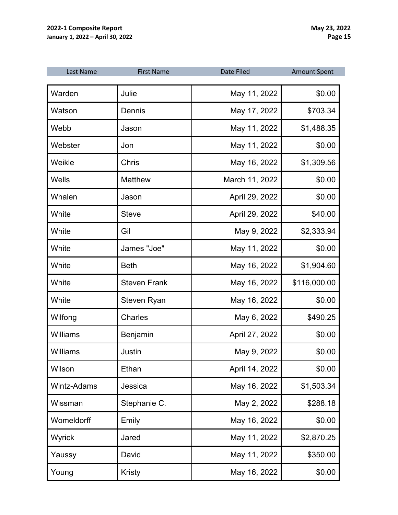| Last Name          | <b>First Name</b>   | <b>Date Filed</b> | <b>Amount Spent</b> |
|--------------------|---------------------|-------------------|---------------------|
| Warden             | Julie               | May 11, 2022      | \$0.00              |
| Watson             | Dennis              | May 17, 2022      | \$703.34            |
| Webb               | Jason               | May 11, 2022      | \$1,488.35          |
| Webster            | Jon                 | May 11, 2022      | \$0.00              |
| Weikle             | Chris               | May 16, 2022      | \$1,309.56          |
| Wells              | <b>Matthew</b>      | March 11, 2022    | \$0.00              |
| Whalen             | Jason               | April 29, 2022    | \$0.00              |
| White              | <b>Steve</b>        | April 29, 2022    | \$40.00             |
| White              | Gil                 | May 9, 2022       | \$2,333.94          |
| White              | James "Joe"         | May 11, 2022      | \$0.00              |
| White              | <b>Beth</b>         | May 16, 2022      | \$1,904.60          |
| White              | <b>Steven Frank</b> | May 16, 2022      | \$116,000.00        |
| White              | Steven Ryan         | May 16, 2022      | \$0.00              |
| Wilfong            | <b>Charles</b>      | May 6, 2022       | \$490.25            |
| Williams           | Benjamin            | April 27, 2022    | \$0.00              |
| Williams           | Justin              | May 9, 2022       | \$0.00              |
| Wilson             | Ethan               | April 14, 2022    | \$0.00              |
| <b>Wintz-Adams</b> | Jessica             | May 16, 2022      | \$1,503.34          |
| Wissman            | Stephanie C.        | May 2, 2022       | \$288.18            |
| Womeldorff         | Emily               | May 16, 2022      | \$0.00              |
| Wyrick             | Jared               | May 11, 2022      | \$2,870.25          |
| Yaussy             | David               | May 11, 2022      | \$350.00            |
| Young              | <b>Kristy</b>       | May 16, 2022      | \$0.00              |